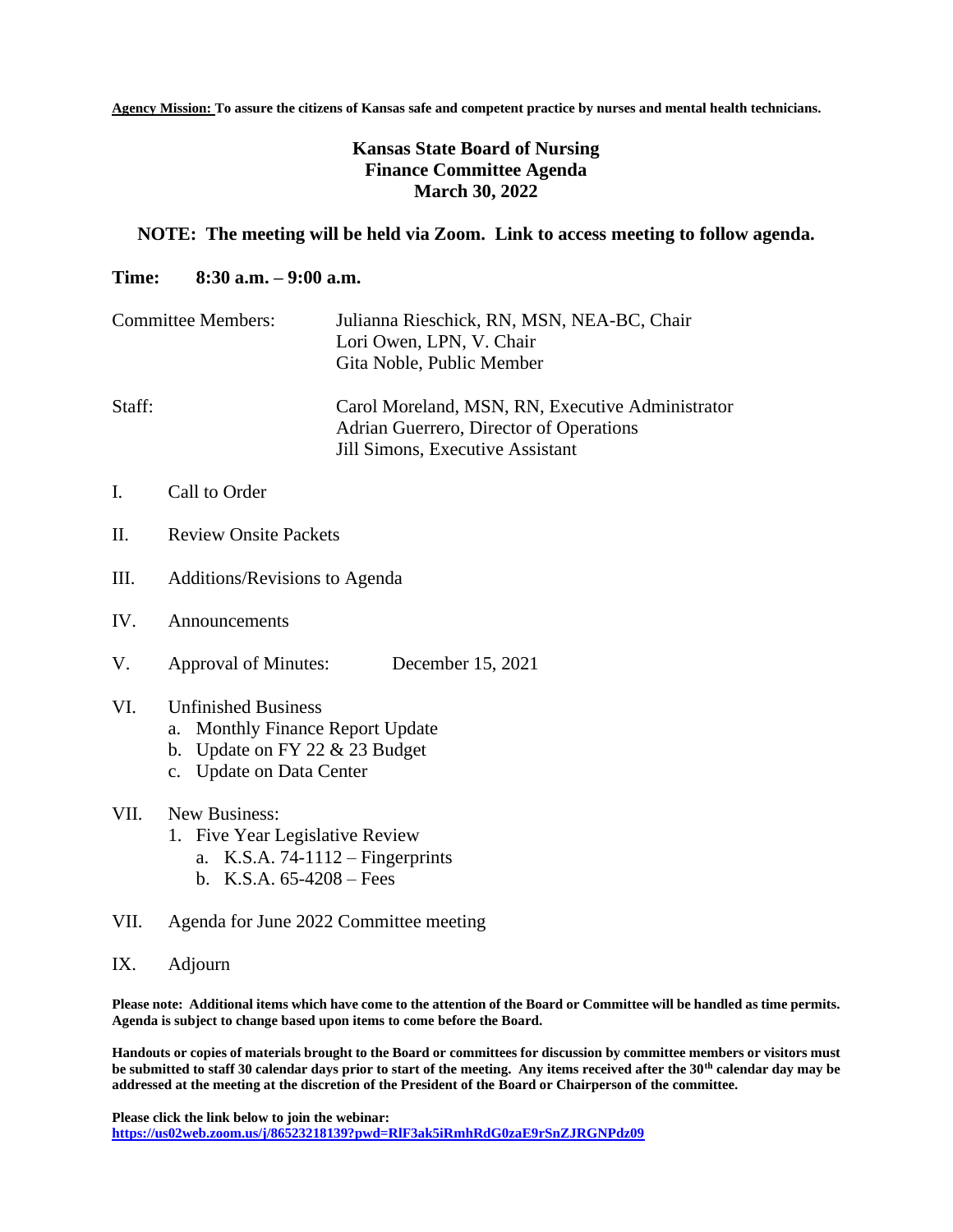**Agency Mission: To assure the citizens of Kansas safe and competent practice by nurses and mental health technicians.**

## **Kansas State Board of Nursing Finance Committee Agenda March 30, 2022**

## **NOTE: The meeting will be held via Zoom. Link to access meeting to follow agenda.**

## **Time: 8:30 a.m. – 9:00 a.m.**

| <b>Committee Members:</b> | Julianna Rieschick, RN, MSN, NEA-BC, Chair<br>Lori Owen, LPN, V. Chair<br>Gita Noble, Public Member                             |
|---------------------------|---------------------------------------------------------------------------------------------------------------------------------|
| Staff:                    | Carol Moreland, MSN, RN, Executive Administrator<br>Adrian Guerrero, Director of Operations<br>Jill Simons, Executive Assistant |

- I. Call to Order
- II. Review Onsite Packets
- III. Additions/Revisions to Agenda
- IV. Announcements
- V. Approval of Minutes: December 15, 2021

## VI. Unfinished Business

- a. Monthly Finance Report Update
- b. Update on FY 22 & 23 Budget
- c. Update on Data Center
- VII. New Business:
	- 1. Five Year Legislative Review
		- a. K.S.A. 74-1112 Fingerprints
		- b. K.S.A. 65-4208 Fees
- VII. Agenda for June 2022 Committee meeting
- IX. Adjourn

**Please note: Additional items which have come to the attention of the Board or Committee will be handled as time permits. Agenda is subject to change based upon items to come before the Board.**

**Handouts or copies of materials brought to the Board or committees for discussion by committee members or visitors must be submitted to staff 30 calendar days prior to start of the meeting. Any items received after the 30th calendar day may be addressed at the meeting at the discretion of the President of the Board or Chairperson of the committee.**

**Please click the link below to join the webinar: <https://us02web.zoom.us/j/86523218139?pwd=RlF3ak5iRmhRdG0zaE9rSnZJRGNPdz09>**